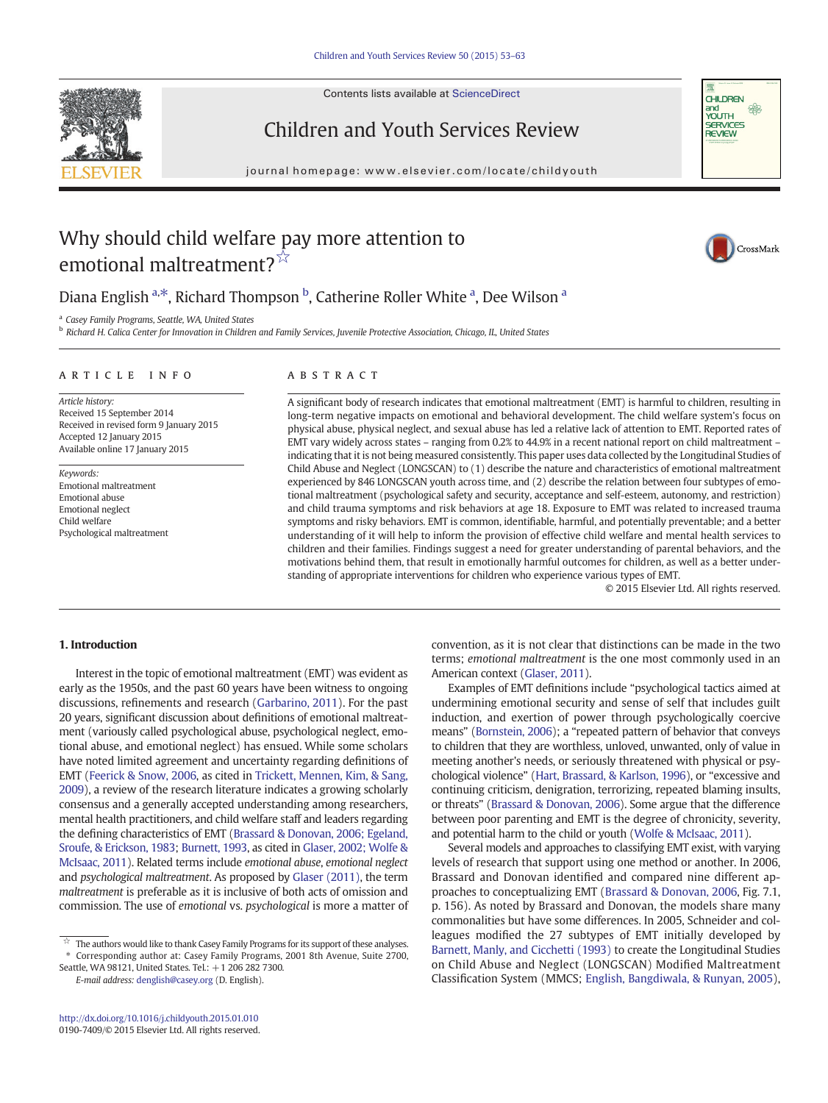Contents lists available at [ScienceDirect](http://www.sciencedirect.com/science/journal/01907409)





# Children and Youth Services Review

journal homepage:<www.elsevier.com/locate/childyouth>

# Why should child welfare pay more attention to emotional maltreatment?<sup>☆</sup>

CrossMark

## Diana English <sup>a,\*</sup>, Richard Thompson <sup>b</sup>, Catherine Roller White <sup>a</sup>, Dee Wilson <sup>a</sup>

<sup>a</sup> Casey Family Programs, Seattle, WA, United States

<sup>b</sup> Richard H. Calica Center for Innovation in Children and Family Services, Juvenile Protective Association, Chicago, IL, United States

### article info abstract

Article history: Received 15 September 2014 Received in revised form 9 January 2015 Accepted 12 January 2015 Available online 17 January 2015

Keywords: Emotional maltreatment Emotional abuse Emotional neglect Child welfare Psychological maltreatment

A significant body of research indicates that emotional maltreatment (EMT) is harmful to children, resulting in long-term negative impacts on emotional and behavioral development. The child welfare system's focus on physical abuse, physical neglect, and sexual abuse has led a relative lack of attention to EMT. Reported rates of EMT vary widely across states – ranging from 0.2% to 44.9% in a recent national report on child maltreatment – indicating that it is not being measured consistently. This paper uses data collected by the Longitudinal Studies of Child Abuse and Neglect (LONGSCAN) to (1) describe the nature and characteristics of emotional maltreatment experienced by 846 LONGSCAN youth across time, and (2) describe the relation between four subtypes of emotional maltreatment (psychological safety and security, acceptance and self-esteem, autonomy, and restriction) and child trauma symptoms and risk behaviors at age 18. Exposure to EMT was related to increased trauma symptoms and risky behaviors. EMT is common, identifiable, harmful, and potentially preventable; and a better understanding of it will help to inform the provision of effective child welfare and mental health services to children and their families. Findings suggest a need for greater understanding of parental behaviors, and the motivations behind them, that result in emotionally harmful outcomes for children, as well as a better understanding of appropriate interventions for children who experience various types of EMT.

© 2015 Elsevier Ltd. All rights reserved.

### 1. Introduction

Interest in the topic of emotional maltreatment (EMT) was evident as early as the 1950s, and the past 60 years have been witness to ongoing discussions, refinements and research [\(Garbarino, 2011](#page--1-0)). For the past 20 years, significant discussion about definitions of emotional maltreatment (variously called psychological abuse, psychological neglect, emotional abuse, and emotional neglect) has ensued. While some scholars have noted limited agreement and uncertainty regarding definitions of EMT [\(Feerick & Snow, 2006](#page--1-0), as cited in [Trickett, Mennen, Kim, & Sang,](#page--1-0) [2009](#page--1-0)), a review of the research literature indicates a growing scholarly consensus and a generally accepted understanding among researchers, mental health practitioners, and child welfare staff and leaders regarding the defining characteristics of EMT [\(Brassard & Donovan, 2006; Egeland,](#page--1-0) [Sroufe, & Erickson, 1983](#page--1-0); [Burnett, 1993,](#page--1-0) as cited in [Glaser, 2002; Wolfe &](#page--1-0) [McIsaac, 2011](#page--1-0)). Related terms include emotional abuse, emotional neglect and psychological maltreatment. As proposed by [Glaser \(2011\)](#page--1-0), the term maltreatment is preferable as it is inclusive of both acts of omission and commission. The use of emotional vs. psychological is more a matter of

E-mail address: [denglish@casey.org](mailto:denglish@casey.org) (D. English).

convention, as it is not clear that distinctions can be made in the two terms; emotional maltreatment is the one most commonly used in an American context ([Glaser, 2011\)](#page--1-0).

Examples of EMT definitions include "psychological tactics aimed at undermining emotional security and sense of self that includes guilt induction, and exertion of power through psychologically coercive means" [\(Bornstein, 2006](#page--1-0)); a "repeated pattern of behavior that conveys to children that they are worthless, unloved, unwanted, only of value in meeting another's needs, or seriously threatened with physical or psychological violence" [\(Hart, Brassard, & Karlson, 1996](#page--1-0)), or "excessive and continuing criticism, denigration, terrorizing, repeated blaming insults, or threats" [\(Brassard & Donovan, 2006\)](#page--1-0). Some argue that the difference between poor parenting and EMT is the degree of chronicity, severity, and potential harm to the child or youth [\(Wolfe & McIsaac, 2011\)](#page--1-0).

Several models and approaches to classifying EMT exist, with varying levels of research that support using one method or another. In 2006, Brassard and Donovan identified and compared nine different approaches to conceptualizing EMT [\(Brassard & Donovan, 2006](#page--1-0), Fig. 7.1, p. 156). As noted by Brassard and Donovan, the models share many commonalities but have some differences. In 2005, Schneider and colleagues modified the 27 subtypes of EMT initially developed by [Barnett, Manly, and Cicchetti \(1993\)](#page--1-0) to create the Longitudinal Studies on Child Abuse and Neglect (LONGSCAN) Modified Maltreatment Classification System (MMCS; [English, Bangdiwala, & Runyan, 2005](#page--1-0)),

 $\overrightarrow{a}$  The authors would like to thank Casey Family Programs for its support of these analyses. ⁎ Corresponding author at: Casey Family Programs, 2001 8th Avenue, Suite 2700,

Seattle, WA 98121, United States. Tel.: +1 206 282 7300.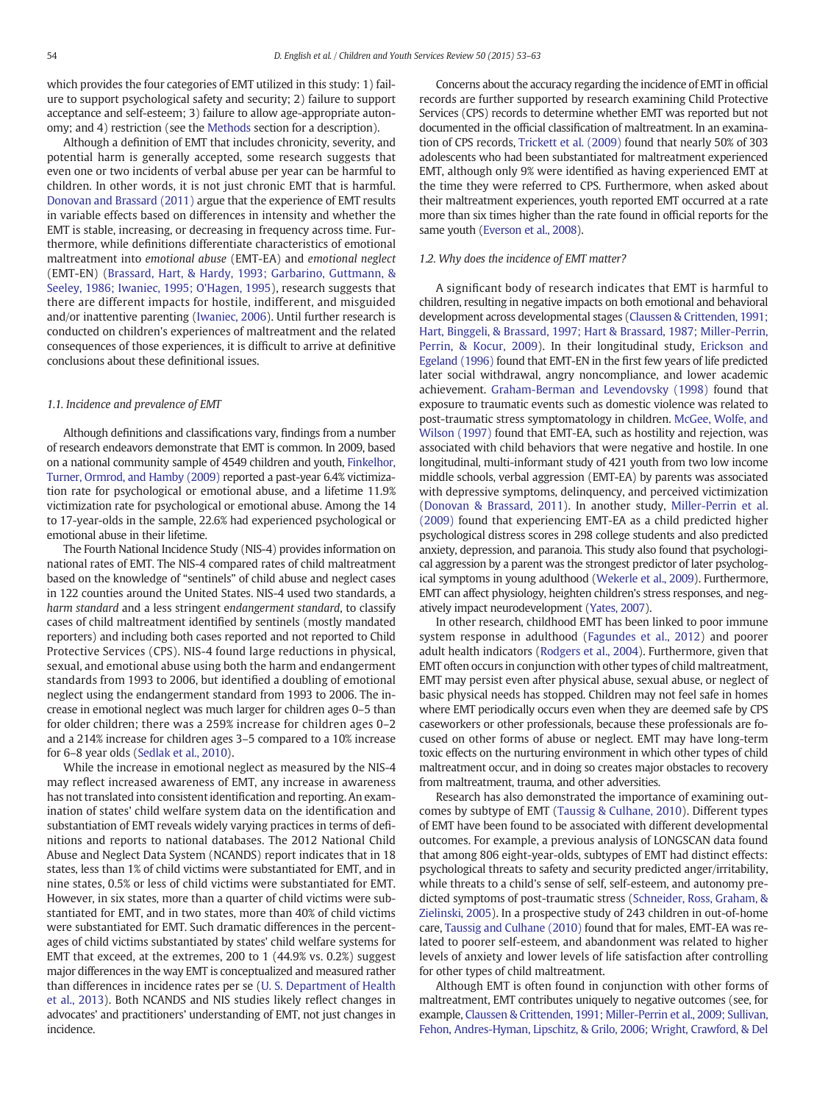which provides the four categories of EMT utilized in this study: 1) failure to support psychological safety and security; 2) failure to support acceptance and self-esteem; 3) failure to allow age-appropriate autonomy; and 4) restriction (see the [Methods](#page--1-0) section for a description).

Although a definition of EMT that includes chronicity, severity, and potential harm is generally accepted, some research suggests that even one or two incidents of verbal abuse per year can be harmful to children. In other words, it is not just chronic EMT that is harmful. [Donovan and Brassard \(2011\)](#page--1-0) argue that the experience of EMT results in variable effects based on differences in intensity and whether the EMT is stable, increasing, or decreasing in frequency across time. Furthermore, while definitions differentiate characteristics of emotional maltreatment into emotional abuse (EMT-EA) and emotional neglect (EMT-EN) ([Brassard, Hart, & Hardy, 1993; Garbarino, Guttmann, &](#page--1-0) [Seeley, 1986; Iwaniec, 1995; O'Hagen, 1995](#page--1-0)), research suggests that there are different impacts for hostile, indifferent, and misguided and/or inattentive parenting ([Iwaniec, 2006\)](#page--1-0). Until further research is conducted on children's experiences of maltreatment and the related consequences of those experiences, it is difficult to arrive at definitive conclusions about these definitional issues.

### 1.1. Incidence and prevalence of EMT

Although definitions and classifications vary, findings from a number of research endeavors demonstrate that EMT is common. In 2009, based on a national community sample of 4549 children and youth, [Finkelhor,](#page--1-0) [Turner, Ormrod, and Hamby \(2009\)](#page--1-0) reported a past-year 6.4% victimization rate for psychological or emotional abuse, and a lifetime 11.9% victimization rate for psychological or emotional abuse. Among the 14 to 17-year-olds in the sample, 22.6% had experienced psychological or emotional abuse in their lifetime.

The Fourth National Incidence Study (NIS-4) provides information on national rates of EMT. The NIS-4 compared rates of child maltreatment based on the knowledge of "sentinels" of child abuse and neglect cases in 122 counties around the United States. NIS-4 used two standards, a harm standard and a less stringent endangerment standard, to classify cases of child maltreatment identified by sentinels (mostly mandated reporters) and including both cases reported and not reported to Child Protective Services (CPS). NIS-4 found large reductions in physical, sexual, and emotional abuse using both the harm and endangerment standards from 1993 to 2006, but identified a doubling of emotional neglect using the endangerment standard from 1993 to 2006. The increase in emotional neglect was much larger for children ages 0–5 than for older children; there was a 259% increase for children ages 0–2 and a 214% increase for children ages 3–5 compared to a 10% increase for 6–8 year olds [\(Sedlak et al., 2010](#page--1-0)).

While the increase in emotional neglect as measured by the NIS-4 may reflect increased awareness of EMT, any increase in awareness has not translated into consistent identification and reporting. An examination of states' child welfare system data on the identification and substantiation of EMT reveals widely varying practices in terms of definitions and reports to national databases. The 2012 National Child Abuse and Neglect Data System (NCANDS) report indicates that in 18 states, less than 1% of child victims were substantiated for EMT, and in nine states, 0.5% or less of child victims were substantiated for EMT. However, in six states, more than a quarter of child victims were substantiated for EMT, and in two states, more than 40% of child victims were substantiated for EMT. Such dramatic differences in the percentages of child victims substantiated by states' child welfare systems for EMT that exceed, at the extremes, 200 to 1 (44.9% vs. 0.2%) suggest major differences in the way EMT is conceptualized and measured rather than differences in incidence rates per se ([U. S. Department of Health](#page--1-0) [et al., 2013\)](#page--1-0). Both NCANDS and NIS studies likely reflect changes in advocates' and practitioners' understanding of EMT, not just changes in incidence.

Concerns about the accuracy regarding the incidence of EMT in official records are further supported by research examining Child Protective Services (CPS) records to determine whether EMT was reported but not documented in the official classification of maltreatment. In an examination of CPS records, [Trickett et al. \(2009\)](#page--1-0) found that nearly 50% of 303 adolescents who had been substantiated for maltreatment experienced EMT, although only 9% were identified as having experienced EMT at the time they were referred to CPS. Furthermore, when asked about their maltreatment experiences, youth reported EMT occurred at a rate more than six times higher than the rate found in official reports for the same youth ([Everson et al., 2008\)](#page--1-0).

### 1.2. Why does the incidence of EMT matter?

A significant body of research indicates that EMT is harmful to children, resulting in negative impacts on both emotional and behavioral development across developmental stages [\(Claussen & Crittenden, 1991;](#page--1-0) [Hart, Binggeli, & Brassard, 1997; Hart & Brassard, 1987; Miller-Perrin,](#page--1-0) [Perrin, & Kocur, 2009\)](#page--1-0). In their longitudinal study, [Erickson and](#page--1-0) [Egeland \(1996\)](#page--1-0) found that EMT-EN in the first few years of life predicted later social withdrawal, angry noncompliance, and lower academic achievement. [Graham-Berman and Levendovsky \(1998\)](#page--1-0) found that exposure to traumatic events such as domestic violence was related to post-traumatic stress symptomatology in children. [McGee, Wolfe, and](#page--1-0) [Wilson \(1997\)](#page--1-0) found that EMT-EA, such as hostility and rejection, was associated with child behaviors that were negative and hostile. In one longitudinal, multi-informant study of 421 youth from two low income middle schools, verbal aggression (EMT-EA) by parents was associated with depressive symptoms, delinquency, and perceived victimization [\(Donovan & Brassard, 2011](#page--1-0)). In another study, [Miller-Perrin et al.](#page--1-0) [\(2009\)](#page--1-0) found that experiencing EMT-EA as a child predicted higher psychological distress scores in 298 college students and also predicted anxiety, depression, and paranoia. This study also found that psychological aggression by a parent was the strongest predictor of later psychological symptoms in young adulthood [\(Wekerle et al., 2009](#page--1-0)). Furthermore, EMT can affect physiology, heighten children's stress responses, and negatively impact neurodevelopment [\(Yates, 2007](#page--1-0)).

In other research, childhood EMT has been linked to poor immune system response in adulthood ([Fagundes et al., 2012\)](#page--1-0) and poorer adult health indicators ([Rodgers et al., 2004](#page--1-0)). Furthermore, given that EMT often occurs in conjunction with other types of child maltreatment, EMT may persist even after physical abuse, sexual abuse, or neglect of basic physical needs has stopped. Children may not feel safe in homes where EMT periodically occurs even when they are deemed safe by CPS caseworkers or other professionals, because these professionals are focused on other forms of abuse or neglect. EMT may have long-term toxic effects on the nurturing environment in which other types of child maltreatment occur, and in doing so creates major obstacles to recovery from maltreatment, trauma, and other adversities.

Research has also demonstrated the importance of examining outcomes by subtype of EMT [\(Taussig & Culhane, 2010\)](#page--1-0). Different types of EMT have been found to be associated with different developmental outcomes. For example, a previous analysis of LONGSCAN data found that among 806 eight-year-olds, subtypes of EMT had distinct effects: psychological threats to safety and security predicted anger/irritability, while threats to a child's sense of self, self-esteem, and autonomy predicted symptoms of post-traumatic stress ([Schneider, Ross, Graham, &](#page--1-0) [Zielinski, 2005](#page--1-0)). In a prospective study of 243 children in out-of-home care, [Taussig and Culhane \(2010\)](#page--1-0) found that for males, EMT-EA was related to poorer self-esteem, and abandonment was related to higher levels of anxiety and lower levels of life satisfaction after controlling for other types of child maltreatment.

Although EMT is often found in conjunction with other forms of maltreatment, EMT contributes uniquely to negative outcomes (see, for example, [Claussen & Crittenden, 1991; Miller-Perrin et al., 2009; Sullivan,](#page--1-0) [Fehon, Andres-Hyman, Lipschitz, & Grilo, 2006; Wright, Crawford, & Del](#page--1-0)